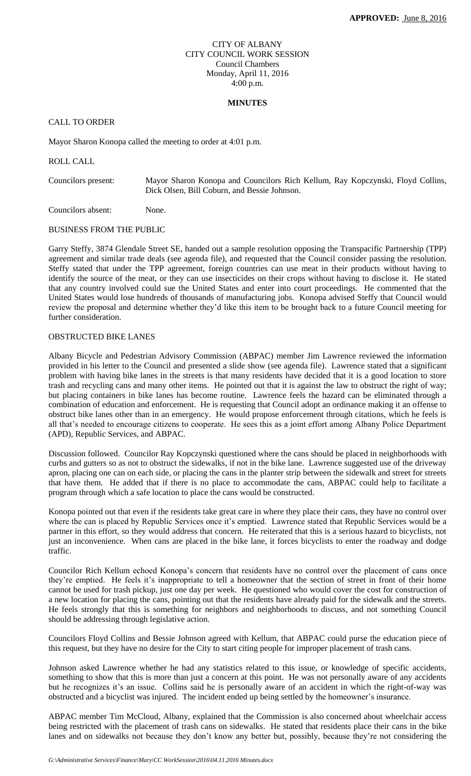#### CITY OF ALBANY CITY COUNCIL WORK SESSION Council Chambers Monday, April 11, 2016 4:00 p.m.

#### **MINUTES**

# CALL TO ORDER

Mayor Sharon Konopa called the meeting to order at 4:01 p.m.

ROLL CALL

Councilors present: Mayor Sharon Konopa and Councilors Rich Kellum, Ray Kopczynski, Floyd Collins, Dick Olsen, Bill Coburn, and Bessie Johnson.

Councilors absent: None.

## BUSINESS FROM THE PUBLIC

Garry Steffy, 3874 Glendale Street SE, handed out a sample resolution opposing the Transpacific Partnership (TPP) agreement and similar trade deals (see agenda file), and requested that the Council consider passing the resolution. Steffy stated that under the TPP agreement, foreign countries can use meat in their products without having to identify the source of the meat, or they can use insecticides on their crops without having to disclose it. He stated that any country involved could sue the United States and enter into court proceedings. He commented that the United States would lose hundreds of thousands of manufacturing jobs. Konopa advised Steffy that Council would review the proposal and determine whether they'd like this item to be brought back to a future Council meeting for further consideration.

#### OBSTRUCTED BIKE LANES

Albany Bicycle and Pedestrian Advisory Commission (ABPAC) member Jim Lawrence reviewed the information provided in his letter to the Council and presented a slide show (see agenda file). Lawrence stated that a significant problem with having bike lanes in the streets is that many residents have decided that it is a good location to store trash and recycling cans and many other items. He pointed out that it is against the law to obstruct the right of way; but placing containers in bike lanes has become routine. Lawrence feels the hazard can be eliminated through a combination of education and enforcement. He is requesting that Council adopt an ordinance making it an offense to obstruct bike lanes other than in an emergency. He would propose enforcement through citations, which he feels is all that's needed to encourage citizens to cooperate. He sees this as a joint effort among Albany Police Department (APD), Republic Services, and ABPAC.

Discussion followed. Councilor Ray Kopczynski questioned where the cans should be placed in neighborhoods with curbs and gutters so as not to obstruct the sidewalks, if not in the bike lane. Lawrence suggested use of the driveway apron, placing one can on each side, or placing the cans in the planter strip between the sidewalk and street for streets that have them. He added that if there is no place to accommodate the cans, ABPAC could help to facilitate a program through which a safe location to place the cans would be constructed.

Konopa pointed out that even if the residents take great care in where they place their cans, they have no control over where the can is placed by Republic Services once it's emptied. Lawrence stated that Republic Services would be a partner in this effort, so they would address that concern. He reiterated that this is a serious hazard to bicyclists, not just an inconvenience. When cans are placed in the bike lane, it forces bicyclists to enter the roadway and dodge traffic.

Councilor Rich Kellum echoed Konopa's concern that residents have no control over the placement of cans once they're emptied. He feels it's inappropriate to tell a homeowner that the section of street in front of their home cannot be used for trash pickup, just one day per week. He questioned who would cover the cost for construction of a new location for placing the cans, pointing out that the residents have already paid for the sidewalk and the streets. He feels strongly that this is something for neighbors and neighborhoods to discuss, and not something Council should be addressing through legislative action.

Councilors Floyd Collins and Bessie Johnson agreed with Kellum, that ABPAC could purse the education piece of this request, but they have no desire for the City to start citing people for improper placement of trash cans.

Johnson asked Lawrence whether he had any statistics related to this issue, or knowledge of specific accidents, something to show that this is more than just a concern at this point. He was not personally aware of any accidents but he recognizes it's an issue. Collins said he is personally aware of an accident in which the right-of-way was obstructed and a bicyclist was injured. The incident ended up being settled by the homeowner's insurance.

ABPAC member Tim McCloud, Albany, explained that the Commission is also concerned about wheelchair access being restricted with the placement of trash cans on sidewalks. He stated that residents place their cans in the bike lanes and on sidewalks not because they don't know any better but, possibly, because they're not considering the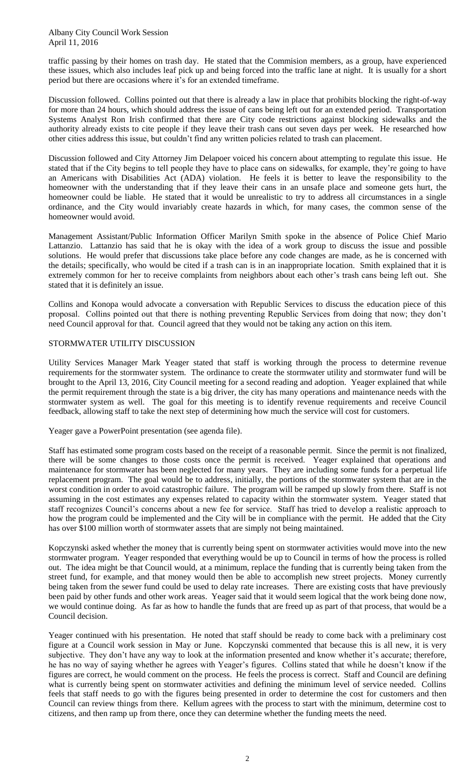traffic passing by their homes on trash day. He stated that the Commision members, as a group, have experienced these issues, which also includes leaf pick up and being forced into the traffic lane at night. It is usually for a short period but there are occasions where it's for an extended timeframe.

Discussion followed. Collins pointed out that there is already a law in place that prohibits blocking the right-of-way for more than 24 hours, which should address the issue of cans being left out for an extended period. Transportation Systems Analyst Ron Irish confirmed that there are City code restrictions against blocking sidewalks and the authority already exists to cite people if they leave their trash cans out seven days per week. He researched how other cities address this issue, but couldn't find any written policies related to trash can placement.

Discussion followed and City Attorney Jim Delapoer voiced his concern about attempting to regulate this issue. He stated that if the City begins to tell people they have to place cans on sidewalks, for example, they're going to have an Americans with Disabilities Act (ADA) violation. He feels it is better to leave the responsibility to the homeowner with the understanding that if they leave their cans in an unsafe place and someone gets hurt, the homeowner could be liable. He stated that it would be unrealistic to try to address all circumstances in a single ordinance, and the City would invariably create hazards in which, for many cases, the common sense of the homeowner would avoid.

Management Assistant/Public Information Officer Marilyn Smith spoke in the absence of Police Chief Mario Lattanzio. Lattanzio has said that he is okay with the idea of a work group to discuss the issue and possible solutions. He would prefer that discussions take place before any code changes are made, as he is concerned with the details; specifically, who would be cited if a trash can is in an inappropriate location. Smith explained that it is extremely common for her to receive complaints from neighbors about each other's trash cans being left out. She stated that it is definitely an issue.

Collins and Konopa would advocate a conversation with Republic Services to discuss the education piece of this proposal. Collins pointed out that there is nothing preventing Republic Services from doing that now; they don't need Council approval for that. Council agreed that they would not be taking any action on this item.

#### STORMWATER UTILITY DISCUSSION

Utility Services Manager Mark Yeager stated that staff is working through the process to determine revenue requirements for the stormwater system. The ordinance to create the stormwater utility and stormwater fund will be brought to the April 13, 2016, City Council meeting for a second reading and adoption. Yeager explained that while the permit requirement through the state is a big driver, the city has many operations and maintenance needs with the stormwater system as well. The goal for this meeting is to identify revenue requirements and receive Council feedback, allowing staff to take the next step of determining how much the service will cost for customers.

Yeager gave a PowerPoint presentation (see agenda file).

Staff has estimated some program costs based on the receipt of a reasonable permit. Since the permit is not finalized, there will be some changes to those costs once the permit is received. Yeager explained that operations and maintenance for stormwater has been neglected for many years. They are including some funds for a perpetual life replacement program. The goal would be to address, initially, the portions of the stormwater system that are in the worst condition in order to avoid catastrophic failure. The program will be ramped up slowly from there. Staff is not assuming in the cost estimates any expenses related to capacity within the stormwater system. Yeager stated that staff recognizes Council's concerns about a new fee for service. Staff has tried to develop a realistic approach to how the program could be implemented and the City will be in compliance with the permit. He added that the City has over \$100 million worth of stormwater assets that are simply not being maintained.

Kopczynski asked whether the money that is currently being spent on stormwater activities would move into the new stormwater program. Yeager responded that everything would be up to Council in terms of how the process is rolled out. The idea might be that Council would, at a minimum, replace the funding that is currently being taken from the street fund, for example, and that money would then be able to accomplish new street projects. Money currently being taken from the sewer fund could be used to delay rate increases. There are existing costs that have previously been paid by other funds and other work areas. Yeager said that it would seem logical that the work being done now, we would continue doing. As far as how to handle the funds that are freed up as part of that process, that would be a Council decision.

Yeager continued with his presentation. He noted that staff should be ready to come back with a preliminary cost figure at a Council work session in May or June. Kopczynski commented that because this is all new, it is very subjective. They don't have any way to look at the information presented and know whether it's accurate; therefore, he has no way of saying whether he agrees with Yeager's figures. Collins stated that while he doesn't know if the figures are correct, he would comment on the process. He feels the process is correct. Staff and Council are defining what is currently being spent on stormwater activities and defining the minimum level of service needed. Collins feels that staff needs to go with the figures being presented in order to determine the cost for customers and then Council can review things from there. Kellum agrees with the process to start with the minimum, determine cost to citizens, and then ramp up from there, once they can determine whether the funding meets the need.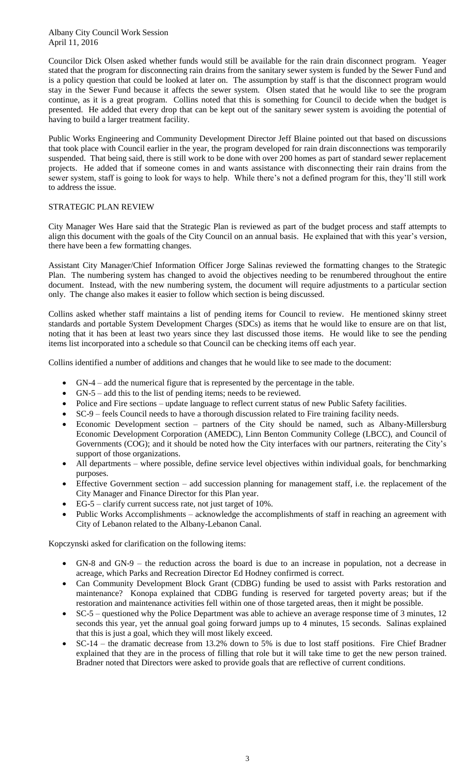Councilor Dick Olsen asked whether funds would still be available for the rain drain disconnect program. Yeager stated that the program for disconnecting rain drains from the sanitary sewer system is funded by the Sewer Fund and is a policy question that could be looked at later on. The assumption by staff is that the disconnect program would stay in the Sewer Fund because it affects the sewer system. Olsen stated that he would like to see the program continue, as it is a great program. Collins noted that this is something for Council to decide when the budget is presented. He added that every drop that can be kept out of the sanitary sewer system is avoiding the potential of having to build a larger treatment facility.

Public Works Engineering and Community Development Director Jeff Blaine pointed out that based on discussions that took place with Council earlier in the year, the program developed for rain drain disconnections was temporarily suspended. That being said, there is still work to be done with over 200 homes as part of standard sewer replacement projects. He added that if someone comes in and wants assistance with disconnecting their rain drains from the sewer system, staff is going to look for ways to help. While there's not a defined program for this, they'll still work to address the issue.

## STRATEGIC PLAN REVIEW

City Manager Wes Hare said that the Strategic Plan is reviewed as part of the budget process and staff attempts to align this document with the goals of the City Council on an annual basis. He explained that with this year's version, there have been a few formatting changes.

Assistant City Manager/Chief Information Officer Jorge Salinas reviewed the formatting changes to the Strategic Plan. The numbering system has changed to avoid the objectives needing to be renumbered throughout the entire document. Instead, with the new numbering system, the document will require adjustments to a particular section only. The change also makes it easier to follow which section is being discussed.

Collins asked whether staff maintains a list of pending items for Council to review. He mentioned skinny street standards and portable System Development Charges (SDCs) as items that he would like to ensure are on that list, noting that it has been at least two years since they last discussed those items. He would like to see the pending items list incorporated into a schedule so that Council can be checking items off each year.

Collins identified a number of additions and changes that he would like to see made to the document:

- GN-4 add the numerical figure that is represented by the percentage in the table.
- GN-5 add this to the list of pending items; needs to be reviewed.
- Police and Fire sections update language to reflect current status of new Public Safety facilities.
- SC-9 feels Council needs to have a thorough discussion related to Fire training facility needs.
- Economic Development section partners of the City should be named, such as Albany-Millersburg Economic Development Corporation (AMEDC), Linn Benton Community College (LBCC), and Council of Governments (COG); and it should be noted how the City interfaces with our partners, reiterating the City's support of those organizations.
- All departments where possible, define service level objectives within individual goals, for benchmarking purposes.
- Effective Government section add succession planning for management staff, i.e. the replacement of the City Manager and Finance Director for this Plan year.
- EG-5 clarify current success rate, not just target of 10%.
- Public Works Accomplishments acknowledge the accomplishments of staff in reaching an agreement with City of Lebanon related to the Albany-Lebanon Canal.

Kopczynski asked for clarification on the following items:

- GN-8 and GN-9 the reduction across the board is due to an increase in population, not a decrease in acreage, which Parks and Recreation Director Ed Hodney confirmed is correct.
- Can Community Development Block Grant (CDBG) funding be used to assist with Parks restoration and maintenance? Konopa explained that CDBG funding is reserved for targeted poverty areas; but if the restoration and maintenance activities fell within one of those targeted areas, then it might be possible.
- $\bullet$  SC-5 questioned why the Police Department was able to achieve an average response time of 3 minutes, 12 seconds this year, yet the annual goal going forward jumps up to 4 minutes, 15 seconds. Salinas explained that this is just a goal, which they will most likely exceed.
- SC-14 the dramatic decrease from 13.2% down to 5% is due to lost staff positions. Fire Chief Bradner explained that they are in the process of filling that role but it will take time to get the new person trained. Bradner noted that Directors were asked to provide goals that are reflective of current conditions.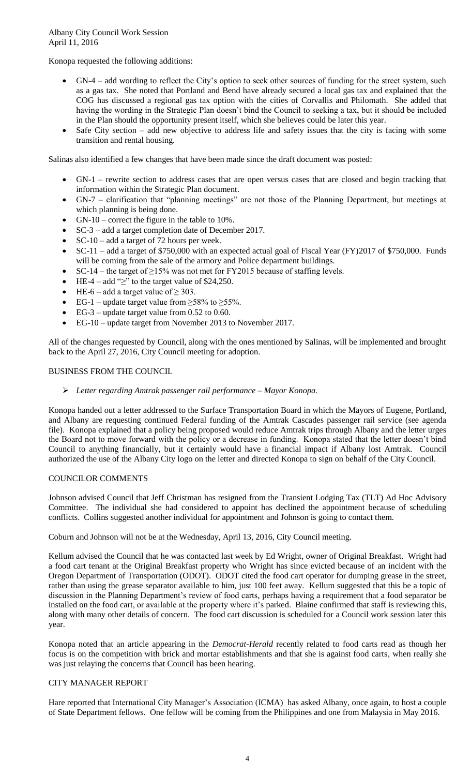Konopa requested the following additions:

- GN-4 add wording to reflect the City's option to seek other sources of funding for the street system, such as a gas tax. She noted that Portland and Bend have already secured a local gas tax and explained that the COG has discussed a regional gas tax option with the cities of Corvallis and Philomath. She added that having the wording in the Strategic Plan doesn't bind the Council to seeking a tax, but it should be included in the Plan should the opportunity present itself, which she believes could be later this year.
- Safe City section add new objective to address life and safety issues that the city is facing with some transition and rental housing.

Salinas also identified a few changes that have been made since the draft document was posted:

- GN-1 rewrite section to address cases that are open versus cases that are closed and begin tracking that information within the Strategic Plan document.
- GN-7 clarification that "planning meetings" are not those of the Planning Department, but meetings at which planning is being done.
- GN-10 correct the figure in the table to 10%.
- SC-3 add a target completion date of December 2017.
- SC-10 add a target of 72 hours per week.
- SC-11 add a target of \$750,000 with an expected actual goal of Fiscal Year (FY)2017 of \$750,000. Funds will be coming from the sale of the armory and Police department buildings.
- SC-14 the target of ≥15% was not met for FY2015 because of staffing levels.
- HE-4 add " $\ge$ " to the target value of \$24,250.
- HE-6 add a target value of  $\geq$  303.
- EG-1 update target value from  $\geq$ 58% to  $\geq$ 55%.
- $\bullet$  EG-3 update target value from 0.52 to 0.60.
- EG-10 update target from November 2013 to November 2017.

All of the changes requested by Council, along with the ones mentioned by Salinas, will be implemented and brought back to the April 27, 2016, City Council meeting for adoption.

BUSINESS FROM THE COUNCIL

## *Letter regarding Amtrak passenger rail performance – Mayor Konopa.*

Konopa handed out a letter addressed to the Surface Transportation Board in which the Mayors of Eugene, Portland, and Albany are requesting continued Federal funding of the Amtrak Cascades passenger rail service (see agenda file). Konopa explained that a policy being proposed would reduce Amtrak trips through Albany and the letter urges the Board not to move forward with the policy or a decrease in funding. Konopa stated that the letter doesn't bind Council to anything financially, but it certainly would have a financial impact if Albany lost Amtrak. Council authorized the use of the Albany City logo on the letter and directed Konopa to sign on behalf of the City Council.

## COUNCILOR COMMENTS

Johnson advised Council that Jeff Christman has resigned from the Transient Lodging Tax (TLT) Ad Hoc Advisory Committee. The individual she had considered to appoint has declined the appointment because of scheduling conflicts. Collins suggested another individual for appointment and Johnson is going to contact them.

Coburn and Johnson will not be at the Wednesday, April 13, 2016, City Council meeting.

Kellum advised the Council that he was contacted last week by Ed Wright, owner of Original Breakfast. Wright had a food cart tenant at the Original Breakfast property who Wright has since evicted because of an incident with the Oregon Department of Transportation (ODOT). ODOT cited the food cart operator for dumping grease in the street, rather than using the grease separator available to him, just 100 feet away. Kellum suggested that this be a topic of discussion in the Planning Department's review of food carts, perhaps having a requirement that a food separator be installed on the food cart, or available at the property where it's parked. Blaine confirmed that staff is reviewing this, along with many other details of concern. The food cart discussion is scheduled for a Council work session later this year.

Konopa noted that an article appearing in the *Democrat-Herald* recently related to food carts read as though her focus is on the competition with brick and mortar establishments and that she is against food carts, when really she was just relaying the concerns that Council has been hearing.

## CITY MANAGER REPORT

Hare reported that International City Manager's Association (ICMA) has asked Albany, once again, to host a couple of State Department fellows. One fellow will be coming from the Philippines and one from Malaysia in May 2016.